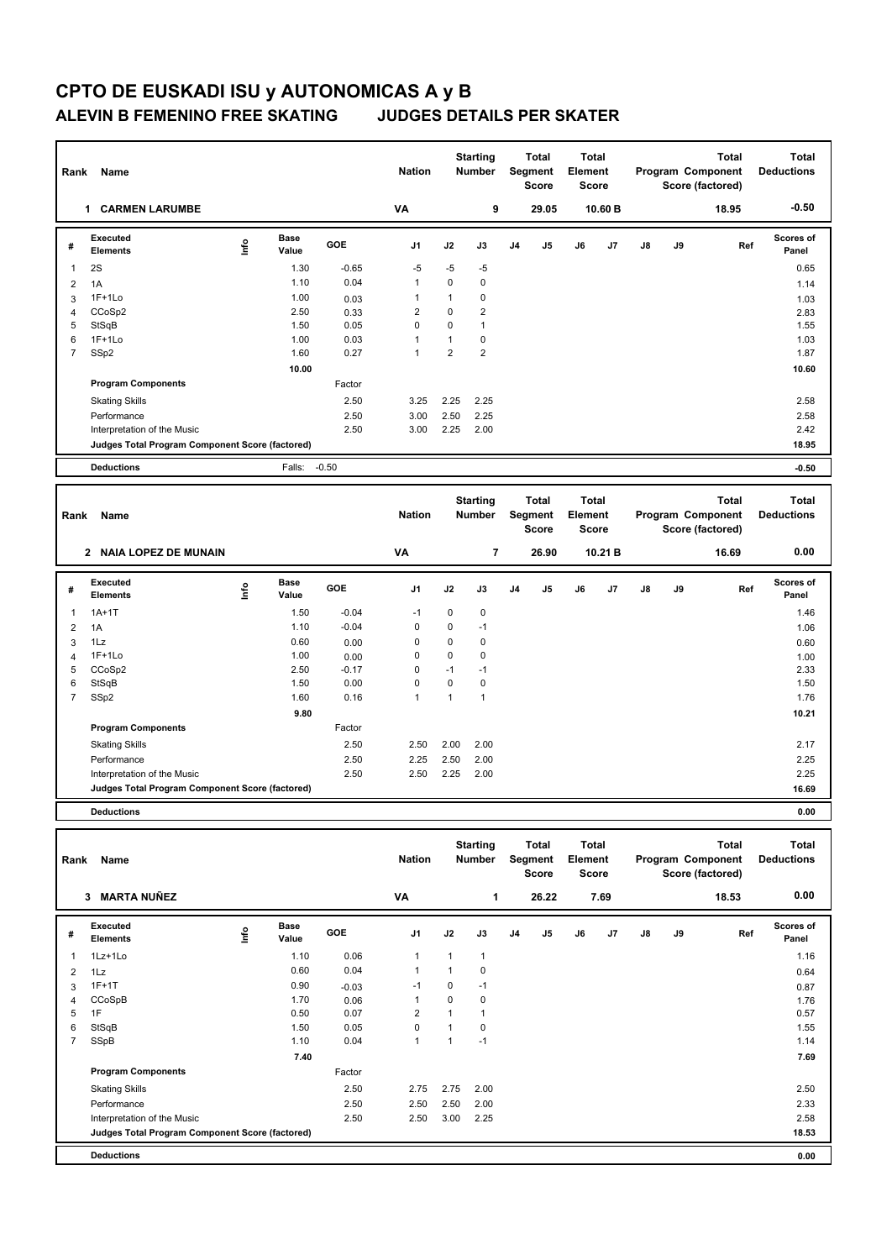| Rank           | Name                                            |      |                      |         | <b>Nation</b>  |                | <b>Starting</b><br><b>Number</b> |                | <b>Total</b><br>Segment<br><b>Score</b> | <b>Total</b><br>Element<br><b>Score</b> |         |               | Program Component | <b>Total</b><br>Score (factored) | <b>Total</b><br><b>Deductions</b> |
|----------------|-------------------------------------------------|------|----------------------|---------|----------------|----------------|----------------------------------|----------------|-----------------------------------------|-----------------------------------------|---------|---------------|-------------------|----------------------------------|-----------------------------------|
|                | 1 CARMEN LARUMBE                                |      |                      |         | VA             |                | 9                                |                | 29.05                                   |                                         | 10.60 B |               |                   | 18.95                            | $-0.50$                           |
| #              | Executed<br><b>Elements</b>                     | ١nf٥ | Base<br>Value        | GOE     | J <sub>1</sub> | J2             | J3                               | J <sub>4</sub> | J5                                      | J6                                      | J7      | $\mathsf{J}8$ | J9                | Ref                              | <b>Scores of</b><br>Panel         |
| $\mathbf{1}$   | 2S                                              |      | 1.30                 | $-0.65$ | $-5$           | $-5$           | -5                               |                |                                         |                                         |         |               |                   |                                  | 0.65                              |
| 2              | 1A                                              |      | 1.10                 | 0.04    | $\mathbf{1}$   | $\mathbf 0$    | $\Omega$                         |                |                                         |                                         |         |               |                   |                                  | 1.14                              |
| 3              | $1F+1Lo$                                        |      | 1.00                 | 0.03    | $\mathbf{1}$   | $\mathbf{1}$   | 0                                |                |                                         |                                         |         |               |                   |                                  | 1.03                              |
| 4              | CCoSp2                                          |      | 2.50                 | 0.33    | $\overline{2}$ | $\mathbf 0$    | $\overline{2}$                   |                |                                         |                                         |         |               |                   |                                  | 2.83                              |
| 5              | StSqB                                           |      | 1.50                 | 0.05    | $\Omega$       | $\mathbf 0$    | $\mathbf{1}$                     |                |                                         |                                         |         |               |                   |                                  | 1.55                              |
| 6              | $1F+1Lo$                                        |      | 1.00                 | 0.03    | $\mathbf{1}$   | $\mathbf{1}$   | $\mathbf 0$                      |                |                                         |                                         |         |               |                   |                                  | 1.03                              |
| $\overline{7}$ | SSp2                                            |      | 1.60                 | 0.27    | $\mathbf{1}$   | $\overline{2}$ | $\overline{2}$                   |                |                                         |                                         |         |               |                   |                                  | 1.87                              |
|                |                                                 |      | 10.00                |         |                |                |                                  |                |                                         |                                         |         |               |                   |                                  | 10.60                             |
|                | <b>Program Components</b>                       |      |                      | Factor  |                |                |                                  |                |                                         |                                         |         |               |                   |                                  |                                   |
|                | <b>Skating Skills</b>                           |      |                      | 2.50    | 3.25           | 2.25           | 2.25                             |                |                                         |                                         |         |               |                   |                                  | 2.58                              |
|                | Performance                                     |      |                      | 2.50    | 3.00           | 2.50           | 2.25                             |                |                                         |                                         |         |               |                   |                                  | 2.58                              |
|                | Interpretation of the Music                     |      |                      | 2.50    | 3.00           | 2.25           | 2.00                             |                |                                         |                                         |         |               |                   |                                  | 2.42                              |
|                | Judges Total Program Component Score (factored) |      |                      |         |                |                |                                  |                |                                         |                                         |         |               |                   |                                  | 18.95                             |
|                | <b>Deductions</b>                               |      | Falls:               | $-0.50$ |                |                |                                  |                |                                         |                                         |         |               |                   |                                  | $-0.50$                           |
| Rank           | Name                                            |      |                      |         | <b>Nation</b>  |                | <b>Starting</b><br><b>Number</b> |                | <b>Total</b><br>Segment<br><b>Score</b> | <b>Total</b><br>Element<br><b>Score</b> |         |               | Program Component | <b>Total</b><br>Score (factored) | <b>Total</b><br><b>Deductions</b> |
|                | 2 NAIA LOPEZ DE MUNAIN                          |      |                      |         | VA             |                | 7                                |                | 26.90                                   |                                         | 10.21 B |               |                   | 16.69                            | 0.00                              |
| #              | Executed<br><b>Elements</b>                     | lnfo | <b>Base</b><br>Value | GOE     | J <sub>1</sub> | J2             | J3                               | J <sub>4</sub> | J <sub>5</sub>                          | J6                                      | J7      | $\mathsf{J}8$ | J9                | Ref                              | Scores of<br>Panel                |
| 1              | $1A+1T$                                         |      | 1.50                 | $-0.04$ | $-1$           | 0              | 0                                |                |                                         |                                         |         |               |                   |                                  | 1.46                              |
| 2              | 1A                                              |      | 1.10                 | $-0.04$ | $\mathbf 0$    | $\mathbf 0$    | $-1$                             |                |                                         |                                         |         |               |                   |                                  | 1.06                              |
| 3              | 1Lz                                             |      | 0.60                 | 0.00    | 0              | $\mathbf 0$    | $\mathbf 0$                      |                |                                         |                                         |         |               |                   |                                  | 0.60                              |
| 4              | $1F+1Lo$                                        |      | 1.00                 | 0.00    | $\Omega$       | $\mathbf 0$    | $\mathbf 0$                      |                |                                         |                                         |         |               |                   |                                  | 1.00                              |
| 5              | CCoSp2                                          |      | 2.50                 | $-0.17$ | $\Omega$       | $-1$           | $-1$                             |                |                                         |                                         |         |               |                   |                                  | 2.33                              |

| 6 | StSqB                                           | 0.00<br>.50 | 0    |      | 0    | 1.50  |
|---|-------------------------------------------------|-------------|------|------|------|-------|
|   | SSp2                                            | .60<br>0.16 |      |      |      | 1.76  |
|   |                                                 | 9.80        |      |      |      | 10.21 |
|   | <b>Program Components</b>                       | Factor      |      |      |      |       |
|   | <b>Skating Skills</b>                           | 2.50        | 2.50 | 2.00 | 2.00 | 2.17  |
|   | Performance                                     | 2.50        | 2.25 | 2.50 | 2.00 | 2.25  |
|   | Interpretation of the Music                     | 2.50        | 2.50 | 2.25 | 2.00 | 2.25  |
|   | Judges Total Program Component Score (factored) |             |      |      |      | 16.69 |

**Deductions 0.00**

| Rank | Name<br><b>MARTA NUÑEZ</b><br>3                 |   |                      |         |                |          | <b>Starting</b><br><b>Number</b> |                | Total<br>Segment<br><b>Score</b> | Total<br>Element<br><b>Score</b> |      |               |    | <b>Total</b><br>Program Component<br>Score (factored) | <b>Total</b><br><b>Deductions</b> |
|------|-------------------------------------------------|---|----------------------|---------|----------------|----------|----------------------------------|----------------|----------------------------------|----------------------------------|------|---------------|----|-------------------------------------------------------|-----------------------------------|
|      |                                                 |   |                      |         | VA             |          | 1                                |                | 26.22                            |                                  | 7.69 |               |    | 18.53                                                 | 0.00                              |
| #    | <b>Executed</b><br><b>Elements</b>              | ۴ | <b>Base</b><br>Value | GOE     | J <sub>1</sub> | J2       | J3                               | J <sub>4</sub> | J5                               | J6                               | J7   | $\mathsf{J}8$ | J9 | Ref                                                   | Scores of<br>Panel                |
| 1    | $1Lz+1Lo$                                       |   | 1.10                 | 0.06    | $\mathbf{1}$   |          | 1                                |                |                                  |                                  |      |               |    |                                                       | 1.16                              |
| 2    | 1Lz                                             |   | 0.60                 | 0.04    | $\mathbf{1}$   |          | 0                                |                |                                  |                                  |      |               |    |                                                       | 0.64                              |
| 3    | $1F+1T$                                         |   | 0.90                 | $-0.03$ | $-1$           | $\Omega$ | $-1$                             |                |                                  |                                  |      |               |    |                                                       | 0.87                              |
| 4    | CCoSpB                                          |   | 1.70                 | 0.06    | $\mathbf{1}$   | $\Omega$ | 0                                |                |                                  |                                  |      |               |    |                                                       | 1.76                              |
| 5    | 1F                                              |   | 0.50                 | 0.07    | $\overline{2}$ |          | 1                                |                |                                  |                                  |      |               |    |                                                       | 0.57                              |
| 6    | StSqB                                           |   | 1.50                 | 0.05    | $\mathbf 0$    |          | 0                                |                |                                  |                                  |      |               |    |                                                       | 1.55                              |
| 7    | SSpB                                            |   | 1.10                 | 0.04    | $\mathbf{1}$   |          | $-1$                             |                |                                  |                                  |      |               |    |                                                       | 1.14                              |
|      |                                                 |   | 7.40                 |         |                |          |                                  |                |                                  |                                  |      |               |    |                                                       | 7.69                              |
|      | <b>Program Components</b>                       |   |                      | Factor  |                |          |                                  |                |                                  |                                  |      |               |    |                                                       |                                   |
|      | <b>Skating Skills</b>                           |   |                      | 2.50    | 2.75           | 2.75     | 2.00                             |                |                                  |                                  |      |               |    |                                                       | 2.50                              |
|      | Performance                                     |   |                      | 2.50    | 2.50           | 2.50     | 2.00                             |                |                                  |                                  |      |               |    |                                                       | 2.33                              |
|      | Interpretation of the Music                     |   |                      | 2.50    | 2.50           | 3.00     | 2.25                             |                |                                  |                                  |      |               |    |                                                       | 2.58                              |
|      | Judges Total Program Component Score (factored) |   |                      |         |                |          |                                  |                |                                  |                                  |      |               |    |                                                       | 18.53                             |
|      | <b>Deductions</b>                               |   |                      |         |                |          |                                  |                |                                  |                                  |      |               |    |                                                       | 0.00                              |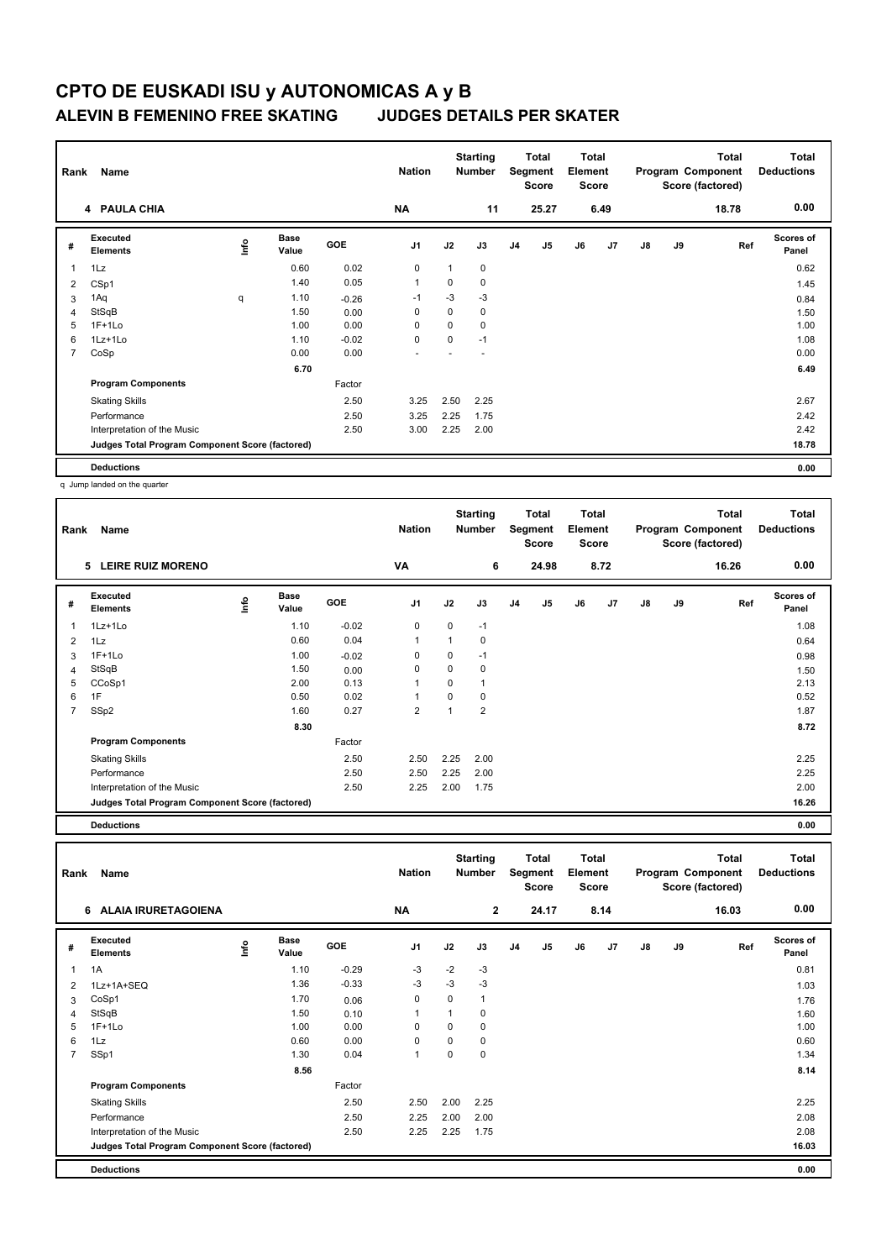| Rank           | Name                                            | <b>Nation</b> |                      | <b>Starting</b><br><b>Number</b> |                | Total<br>Segment<br><b>Score</b> | Total<br>Element<br><b>Score</b> |                |                |    | <b>Total</b><br>Program Component<br>Score (factored) | <b>Total</b><br><b>Deductions</b> |    |       |                           |
|----------------|-------------------------------------------------|---------------|----------------------|----------------------------------|----------------|----------------------------------|----------------------------------|----------------|----------------|----|-------------------------------------------------------|-----------------------------------|----|-------|---------------------------|
|                | 4 PAULA CHIA                                    |               |                      |                                  | <b>NA</b>      |                                  | 11                               |                | 25.27          |    | 6.49                                                  |                                   |    | 18.78 | 0.00                      |
| #              | Executed<br>Elements                            | ١nf٥          | <b>Base</b><br>Value | <b>GOE</b>                       | J <sub>1</sub> | J2                               | J3                               | J <sub>4</sub> | J <sub>5</sub> | J6 | J7                                                    | J8                                | J9 | Ref   | <b>Scores of</b><br>Panel |
| $\overline{1}$ | 1Lz                                             |               | 0.60                 | 0.02                             | $\mathbf 0$    | 1                                | 0                                |                |                |    |                                                       |                                   |    |       | 0.62                      |
| 2              | CSp1                                            |               | 1.40                 | 0.05                             | $\overline{1}$ | 0                                | 0                                |                |                |    |                                                       |                                   |    |       | 1.45                      |
| 3              | 1Aq                                             | q             | 1.10                 | $-0.26$                          | $-1$           | $-3$                             | $-3$                             |                |                |    |                                                       |                                   |    |       | 0.84                      |
| 4              | StSqB                                           |               | 1.50                 | 0.00                             | 0              | 0                                | 0                                |                |                |    |                                                       |                                   |    |       | 1.50                      |
| 5              | $1F+1Lo$                                        |               | 1.00                 | 0.00                             | 0              | 0                                | 0                                |                |                |    |                                                       |                                   |    |       | 1.00                      |
| 6              | 1Lz+1Lo                                         |               | 1.10                 | $-0.02$                          | 0              | 0                                | $-1$                             |                |                |    |                                                       |                                   |    |       | 1.08                      |
| $\overline{7}$ | CoSp                                            |               | 0.00                 | 0.00                             |                |                                  |                                  |                |                |    |                                                       |                                   |    |       | 0.00                      |
|                |                                                 |               | 6.70                 |                                  |                |                                  |                                  |                |                |    |                                                       |                                   |    |       | 6.49                      |
|                | <b>Program Components</b>                       |               |                      | Factor                           |                |                                  |                                  |                |                |    |                                                       |                                   |    |       |                           |
|                | <b>Skating Skills</b>                           |               |                      | 2.50                             | 3.25           | 2.50                             | 2.25                             |                |                |    |                                                       |                                   |    |       | 2.67                      |
|                | Performance                                     |               |                      | 2.50                             | 3.25           | 2.25                             | 1.75                             |                |                |    |                                                       |                                   |    |       | 2.42                      |
|                | Interpretation of the Music                     |               |                      | 2.50                             | 3.00           | 2.25                             | 2.00                             |                |                |    |                                                       |                                   |    |       | 2.42                      |
|                | Judges Total Program Component Score (factored) |               |                      |                                  |                |                                  |                                  |                |                |    |                                                       |                                   |    |       | 18.78                     |
|                | <b>Deductions</b>                               |               |                      |                                  |                |                                  |                                  |                |                |    |                                                       |                                   |    |       | 0.00                      |

q Jump landed on the quarter

| Rank           | Name                                            |             |               |            | <b>Nation</b>  |          | <b>Starting</b><br><b>Number</b> |                | Total<br>Segment<br><b>Score</b> | Total<br>Element<br><b>Score</b> |      |    |    | <b>Total</b><br>Program Component<br>Score (factored) | <b>Total</b><br><b>Deductions</b> |
|----------------|-------------------------------------------------|-------------|---------------|------------|----------------|----------|----------------------------------|----------------|----------------------------------|----------------------------------|------|----|----|-------------------------------------------------------|-----------------------------------|
|                | <b>LEIRE RUIZ MORENO</b><br>5                   |             |               |            | VA             |          | 6                                |                | 24.98                            |                                  | 8.72 |    |    | 16.26                                                 | 0.00                              |
| #              | <b>Executed</b><br><b>Elements</b>              | <u>info</u> | Base<br>Value | <b>GOE</b> | J <sub>1</sub> | J2       | J3                               | J <sub>4</sub> | J5                               | J6                               | J7   | J8 | J9 | Ref                                                   | <b>Scores of</b><br>Panel         |
| 1              | $1Lz+1Lo$                                       |             | 1.10          | $-0.02$    | 0              | $\Omega$ | $-1$                             |                |                                  |                                  |      |    |    |                                                       | 1.08                              |
| 2              | 1Lz                                             |             | 0.60          | 0.04       | $\mathbf{1}$   |          | 0                                |                |                                  |                                  |      |    |    |                                                       | 0.64                              |
| 3              | $1F+1Lo$                                        |             | 1.00          | $-0.02$    | 0              | 0        | $-1$                             |                |                                  |                                  |      |    |    |                                                       | 0.98                              |
| 4              | StSqB                                           |             | 1.50          | 0.00       | 0              | 0        | 0                                |                |                                  |                                  |      |    |    |                                                       | 1.50                              |
| 5              | CCoSp1                                          |             | 2.00          | 0.13       | $\mathbf{1}$   | $\Omega$ |                                  |                |                                  |                                  |      |    |    |                                                       | 2.13                              |
| 6              | 1F                                              |             | 0.50          | 0.02       | $\mathbf{1}$   | $\Omega$ | 0                                |                |                                  |                                  |      |    |    |                                                       | 0.52                              |
| $\overline{7}$ | SSp2                                            |             | 1.60          | 0.27       | 2              |          | 2                                |                |                                  |                                  |      |    |    |                                                       | 1.87                              |
|                |                                                 |             | 8.30          |            |                |          |                                  |                |                                  |                                  |      |    |    |                                                       | 8.72                              |
|                | <b>Program Components</b>                       |             |               | Factor     |                |          |                                  |                |                                  |                                  |      |    |    |                                                       |                                   |
|                | <b>Skating Skills</b>                           |             |               | 2.50       | 2.50           | 2.25     | 2.00                             |                |                                  |                                  |      |    |    |                                                       | 2.25                              |
|                | Performance                                     |             |               | 2.50       | 2.50           | 2.25     | 2.00                             |                |                                  |                                  |      |    |    |                                                       | 2.25                              |
|                | Interpretation of the Music                     |             |               | 2.50       | 2.25           | 2.00     | 1.75                             |                |                                  |                                  |      |    |    |                                                       | 2.00                              |
|                | Judges Total Program Component Score (factored) |             |               |            |                |          |                                  |                |                                  |                                  |      |    |    |                                                       | 16.26                             |

**Deductions 0.00**

**Total Deductions Total Program Component Score (factored) Total Element Score Total Segment Score Starting Rank Name Nation Number # Executed Elements Base Value GOE J1 J2 J3 J4 J5 J6 J7 J8 J9 Scores of Panel** 1 1.10 -0.29 -3 -2 -3 **Ref**  سمان بال بن المسائلة المسائلة المسائلة المسائلة المسائلة المسائلة المسائلة المسائلة المسائلة المسائلة المسائلة<br>1A 1.10 -0.29 -3 -2 -3<br>1A 1.10 -0.29 -3 -2 -3  **6 ALAIA IRURETAGOIENA NA 2 24.17 8.14 16.03 0.00** 2 1Lz+1A+SEQ 1.36 -0.33 -3 -3 -3 1.03 3 CoSp1 1.70 0.06 0 0 1 1.76 4 StSqB 1.60 1.50 0.10 1 1 0 1.60 1.60 1.60 5 1F+1Lo 1.00 0.00 0 0 0 1.00 6 1Lz 0.60 0.00 0 0 0 0.60 7 SSp1 1.30 0.04 1 0 0 1.34 **8.56** 8.56 **Program Components**  Skating Skills 2.50 2.00 2.25 2.50 2.25 Factor Performance 2.50 2.25 2.00 2.00 2.08 Interpretation of the Music 2.50 2.25 2.25 1.75 2.08 **Deductions 0.00 Judges Total Program Component Score (factored) 16.03**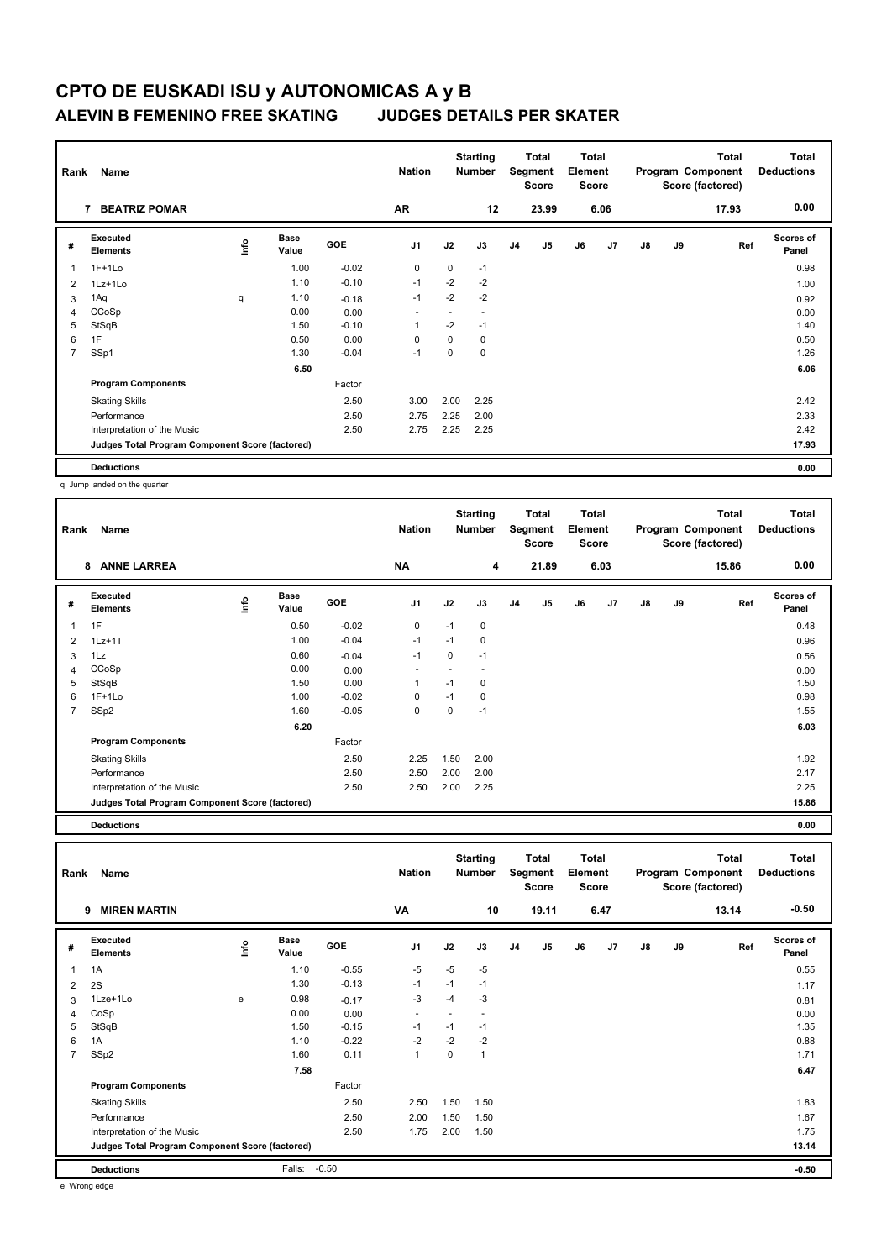| Name<br>Rank   |                                                 |      |                      |            |                |        | <b>Starting</b><br><b>Number</b> |                | Total<br>Segment<br><b>Score</b> | Total<br>Element<br><b>Score</b> |      |    |    | <b>Total</b><br>Program Component<br>Score (factored) | <b>Total</b><br><b>Deductions</b> |
|----------------|-------------------------------------------------|------|----------------------|------------|----------------|--------|----------------------------------|----------------|----------------------------------|----------------------------------|------|----|----|-------------------------------------------------------|-----------------------------------|
|                | <b>BEATRIZ POMAR</b><br>7                       |      |                      |            | <b>AR</b>      |        | 12                               |                | 23.99                            |                                  | 6.06 |    |    | 17.93                                                 | 0.00                              |
| #              | Executed<br><b>Elements</b>                     | ١nf٥ | <b>Base</b><br>Value | <b>GOE</b> | J <sub>1</sub> | J2     | J3                               | J <sub>4</sub> | J <sub>5</sub>                   | J6                               | J7   | J8 | J9 | Ref                                                   | <b>Scores of</b><br>Panel         |
| 1              | $1F+1Lo$                                        |      | 1.00                 | $-0.02$    | $\mathbf 0$    | 0      | $-1$                             |                |                                  |                                  |      |    |    |                                                       | 0.98                              |
| $\overline{2}$ | 1Lz+1Lo                                         |      | 1.10                 | $-0.10$    | $-1$           | $-2$   | $-2$                             |                |                                  |                                  |      |    |    |                                                       | 1.00                              |
| 3              | 1Aq                                             | q    | 1.10                 | $-0.18$    | $-1$           | $-2$   | $-2$                             |                |                                  |                                  |      |    |    |                                                       | 0.92                              |
| 4              | CCoSp                                           |      | 0.00                 | 0.00       | ٠              | $\sim$ | $\overline{\phantom{a}}$         |                |                                  |                                  |      |    |    |                                                       | 0.00                              |
| 5              | StSqB                                           |      | 1.50                 | $-0.10$    | $\overline{1}$ | $-2$   | $-1$                             |                |                                  |                                  |      |    |    |                                                       | 1.40                              |
| 6              | 1F                                              |      | 0.50                 | 0.00       | 0              | 0      | 0                                |                |                                  |                                  |      |    |    |                                                       | 0.50                              |
| $\overline{7}$ | SSp1                                            |      | 1.30                 | $-0.04$    | $-1$           | 0      | 0                                |                |                                  |                                  |      |    |    |                                                       | 1.26                              |
|                |                                                 |      | 6.50                 |            |                |        |                                  |                |                                  |                                  |      |    |    |                                                       | 6.06                              |
|                | <b>Program Components</b>                       |      |                      | Factor     |                |        |                                  |                |                                  |                                  |      |    |    |                                                       |                                   |
|                | <b>Skating Skills</b>                           |      |                      | 2.50       | 3.00           | 2.00   | 2.25                             |                |                                  |                                  |      |    |    |                                                       | 2.42                              |
|                | Performance                                     |      |                      | 2.50       | 2.75           | 2.25   | 2.00                             |                |                                  |                                  |      |    |    |                                                       | 2.33                              |
|                | Interpretation of the Music                     |      |                      | 2.50       | 2.75           | 2.25   | 2.25                             |                |                                  |                                  |      |    |    |                                                       | 2.42                              |
|                | Judges Total Program Component Score (factored) |      |                      |            |                |        |                                  |                |                                  |                                  |      |    |    |                                                       | 17.93                             |
|                | <b>Deductions</b>                               |      |                      |            |                |        |                                  |                |                                  |                                  |      |    |    |                                                       | 0.00                              |

q Jump landed on the quarter

| Rank | Name                                            |      | <b>Nation</b>        |            | <b>Starting</b><br><b>Number</b> |      | <b>Total</b><br>Segment<br><b>Score</b> | Total<br>Element<br><b>Score</b> |                |    |                | Total<br>Program Component<br>Score (factored) | <b>Total</b><br><b>Deductions</b> |       |                    |
|------|-------------------------------------------------|------|----------------------|------------|----------------------------------|------|-----------------------------------------|----------------------------------|----------------|----|----------------|------------------------------------------------|-----------------------------------|-------|--------------------|
|      | <b>ANNE LARREA</b><br>8                         |      |                      |            | <b>NA</b>                        |      | 4                                       |                                  | 21.89          |    | 6.03           |                                                |                                   | 15.86 | 0.00               |
| #    | Executed<br><b>Elements</b>                     | ١nfo | <b>Base</b><br>Value | <b>GOE</b> | J <sub>1</sub>                   | J2   | J3                                      | J <sub>4</sub>                   | J <sub>5</sub> | J6 | J <sub>7</sub> | J8                                             | J9                                | Ref   | Scores of<br>Panel |
| 1    | 1F                                              |      | 0.50                 | $-0.02$    | 0                                | $-1$ | 0                                       |                                  |                |    |                |                                                |                                   |       | 0.48               |
| 2    | $1Lz+1T$                                        |      | 1.00                 | $-0.04$    | $-1$                             | $-1$ | 0                                       |                                  |                |    |                |                                                |                                   |       | 0.96               |
| 3    | 1Lz                                             |      | 0.60                 | $-0.04$    | $-1$                             | 0    | $-1$                                    |                                  |                |    |                |                                                |                                   |       | 0.56               |
| 4    | CCoSp                                           |      | 0.00                 | 0.00       |                                  |      |                                         |                                  |                |    |                |                                                |                                   |       | 0.00               |
| 5    | StSqB                                           |      | 1.50                 | 0.00       | 1                                | $-1$ | 0                                       |                                  |                |    |                |                                                |                                   |       | 1.50               |
| 6    | $1F+1Lo$                                        |      | 1.00                 | $-0.02$    | 0                                | $-1$ | 0                                       |                                  |                |    |                |                                                |                                   |       | 0.98               |
| 7    | SSp2                                            |      | 1.60                 | $-0.05$    | $\mathbf 0$                      | 0    | $-1$                                    |                                  |                |    |                |                                                |                                   |       | 1.55               |
|      |                                                 |      | 6.20                 |            |                                  |      |                                         |                                  |                |    |                |                                                |                                   |       | 6.03               |
|      | <b>Program Components</b>                       |      |                      | Factor     |                                  |      |                                         |                                  |                |    |                |                                                |                                   |       |                    |
|      | <b>Skating Skills</b>                           |      |                      | 2.50       | 2.25                             | 1.50 | 2.00                                    |                                  |                |    |                |                                                |                                   |       | 1.92               |
|      | Performance                                     |      |                      | 2.50       | 2.50                             | 2.00 | 2.00                                    |                                  |                |    |                |                                                |                                   |       | 2.17               |
|      | Interpretation of the Music                     |      |                      | 2.50       | 2.50                             | 2.00 | 2.25                                    |                                  |                |    |                |                                                |                                   |       | 2.25               |
|      | Judges Total Program Component Score (factored) |      |                      |            |                                  |      |                                         |                                  |                |    |                |                                                |                                   |       | 15.86              |

**Deductions 0.00**

**Total Deductions Total Program Component Score (factored) Total Element Score Total Segment Score Starting Rank Name Nation Number # Executed Elements Base Value GOE J1 J2 J3 J4 J5 J6 J7 J8 J9 Scores of Panel** 1 1.10 -0.55 -5 -5 -5 **Ref**  1A 0.55 **Info 9 MIREN MARTIN VA 10 19.11 6.47 13.14 -0.50** 2 2S 1.30 -0.13 -1 -1 -1 1.17 3 1Lze+1Lo e 0.98 -0.17 -3 -4 -3 0.81 4 CoSp 0.00 0.00 - - - 0.00 5 StSqB 1.50 -0.15 -1 -1 -1 1.35 6 1A 1.10 -0.22 -2 -2 -2 -2 -2 0.88 7 SSp2 1.60 0.11 1 0 1 1.71  **7.58 6.47 Program Components**  Skating Skills **2.50** 2.50 2.50 1.50 1.50 Factor 2.50 1.83 Performance 2.50 2.00 1.50 1.50 1.67 Interpretation of the Music 2.50 2.50 1.75 2.00 1.50 1.75 2.00 1.50 1.75 **Deductions** Falls: -0.50 **-0.50 Judges Total Program Component Score (factored) 13.14**

e Wrong edge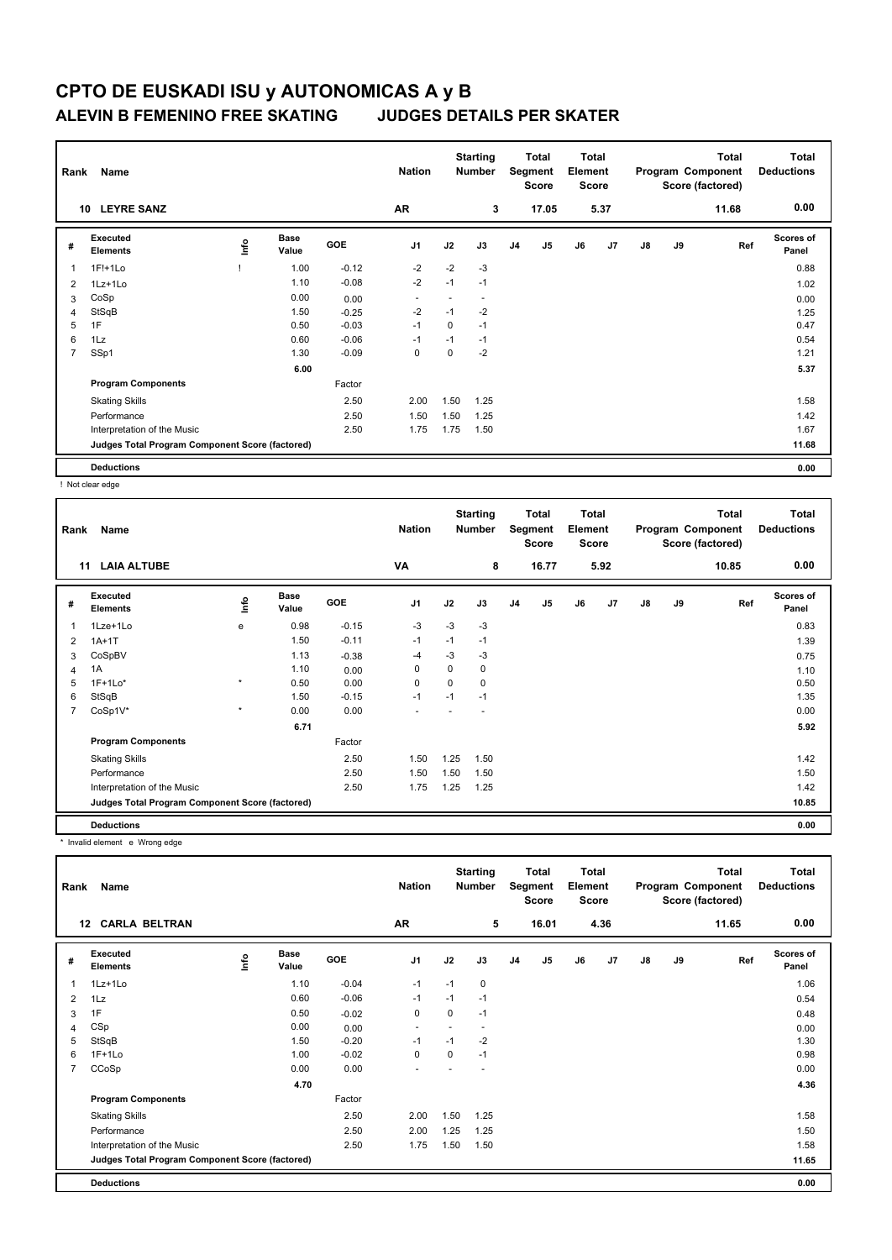| Rank           | Name                                            | <b>Nation</b> |                      | <b>Starting</b><br><b>Number</b> |                | Total<br>Segment<br><b>Score</b> | Total<br>Element<br><b>Score</b> |                |                |    | <b>Total</b><br>Program Component<br>Score (factored) | <b>Total</b><br><b>Deductions</b> |    |       |                           |
|----------------|-------------------------------------------------|---------------|----------------------|----------------------------------|----------------|----------------------------------|----------------------------------|----------------|----------------|----|-------------------------------------------------------|-----------------------------------|----|-------|---------------------------|
|                | <b>LEYRE SANZ</b><br>10                         |               |                      |                                  | <b>AR</b>      |                                  | 3                                |                | 17.05          |    | 5.37                                                  |                                   |    | 11.68 | 0.00                      |
| #              | Executed<br><b>Elements</b>                     | ١nf٥          | <b>Base</b><br>Value | <b>GOE</b>                       | J <sub>1</sub> | J2                               | J3                               | J <sub>4</sub> | J <sub>5</sub> | J6 | J7                                                    | $\mathsf{J}8$                     | J9 | Ref   | <b>Scores of</b><br>Panel |
| -1             | 1F!+1Lo                                         |               | 1.00                 | $-0.12$                          | $-2$           | $-2$                             | $-3$                             |                |                |    |                                                       |                                   |    |       | 0.88                      |
| 2              | 1Lz+1Lo                                         |               | 1.10                 | $-0.08$                          | $-2$           | $-1$                             | $-1$                             |                |                |    |                                                       |                                   |    |       | 1.02                      |
| 3              | CoSp                                            |               | 0.00                 | 0.00                             | ٠              |                                  | $\overline{\phantom{a}}$         |                |                |    |                                                       |                                   |    |       | 0.00                      |
| $\overline{4}$ | StSqB                                           |               | 1.50                 | $-0.25$                          | $-2$           | $-1$                             | $-2$                             |                |                |    |                                                       |                                   |    |       | 1.25                      |
| 5              | 1F                                              |               | 0.50                 | $-0.03$                          | $-1$           | 0                                | $-1$                             |                |                |    |                                                       |                                   |    |       | 0.47                      |
| 6              | 1Lz                                             |               | 0.60                 | $-0.06$                          | $-1$           | $-1$                             | $-1$                             |                |                |    |                                                       |                                   |    |       | 0.54                      |
| $\overline{7}$ | SSp1                                            |               | 1.30                 | $-0.09$                          | $\mathbf 0$    | $\mathbf 0$                      | $-2$                             |                |                |    |                                                       |                                   |    |       | 1.21                      |
|                |                                                 |               | 6.00                 |                                  |                |                                  |                                  |                |                |    |                                                       |                                   |    |       | 5.37                      |
|                | <b>Program Components</b>                       |               |                      | Factor                           |                |                                  |                                  |                |                |    |                                                       |                                   |    |       |                           |
|                | <b>Skating Skills</b>                           |               |                      | 2.50                             | 2.00           | 1.50                             | 1.25                             |                |                |    |                                                       |                                   |    |       | 1.58                      |
|                | Performance                                     |               |                      | 2.50                             | 1.50           | 1.50                             | 1.25                             |                |                |    |                                                       |                                   |    |       | 1.42                      |
|                | Interpretation of the Music                     |               |                      | 2.50                             | 1.75           | 1.75                             | 1.50                             |                |                |    |                                                       |                                   |    |       | 1.67                      |
|                | Judges Total Program Component Score (factored) |               |                      |                                  |                |                                  |                                  |                |                |    |                                                       |                                   |    |       | 11.68                     |
|                | <b>Deductions</b>                               |               |                      |                                  |                |                                  |                                  |                |                |    |                                                       |                                   |    |       | 0.00                      |

! Not clear edge

| Rank | Name                                            | <b>Nation</b> |                      | <b>Starting</b><br>Number |                | Total<br>Segment<br><b>Score</b> | Total<br>Element<br><b>Score</b> |    |       |    | Total<br>Program Component<br>Score (factored) | Total<br><b>Deductions</b> |    |       |                           |
|------|-------------------------------------------------|---------------|----------------------|---------------------------|----------------|----------------------------------|----------------------------------|----|-------|----|------------------------------------------------|----------------------------|----|-------|---------------------------|
|      | <b>LAIA ALTUBE</b><br>11                        |               |                      |                           | VA             |                                  | 8                                |    | 16.77 |    | 5.92                                           |                            |    | 10.85 | 0.00                      |
| #    | <b>Executed</b><br><b>Elements</b>              | <b>Info</b>   | <b>Base</b><br>Value | <b>GOE</b>                | J <sub>1</sub> | J2                               | J3                               | J4 | J5    | J6 | J7                                             | $\mathsf{J}8$              | J9 | Ref   | <b>Scores of</b><br>Panel |
| 1    | 1Lze+1Lo                                        | е             | 0.98                 | $-0.15$                   | $-3$           | $-3$                             | $-3$                             |    |       |    |                                                |                            |    |       | 0.83                      |
| 2    | $1A+1T$                                         |               | 1.50                 | $-0.11$                   | $-1$           | $-1$                             | $-1$                             |    |       |    |                                                |                            |    |       | 1.39                      |
| 3    | CoSpBV                                          |               | 1.13                 | $-0.38$                   | $-4$           | $-3$                             | $-3$                             |    |       |    |                                                |                            |    |       | 0.75                      |
| 4    | 1A                                              |               | 1.10                 | 0.00                      | 0              | 0                                | 0                                |    |       |    |                                                |                            |    |       | 1.10                      |
| 5    | $1F+1Lo*$                                       | $\star$       | 0.50                 | 0.00                      | 0              | 0                                | 0                                |    |       |    |                                                |                            |    |       | 0.50                      |
| 6    | StSqB                                           |               | 1.50                 | $-0.15$                   | $-1$           | $-1$                             | $-1$                             |    |       |    |                                                |                            |    |       | 1.35                      |
| 7    | CoSp1V*                                         | $\star$       | 0.00                 | 0.00                      |                |                                  |                                  |    |       |    |                                                |                            |    |       | 0.00                      |
|      |                                                 |               | 6.71                 |                           |                |                                  |                                  |    |       |    |                                                |                            |    |       | 5.92                      |
|      | <b>Program Components</b>                       |               |                      | Factor                    |                |                                  |                                  |    |       |    |                                                |                            |    |       |                           |
|      | <b>Skating Skills</b>                           |               |                      | 2.50                      | 1.50           | 1.25                             | 1.50                             |    |       |    |                                                |                            |    |       | 1.42                      |
|      | Performance                                     |               |                      | 2.50                      | 1.50           | 1.50                             | 1.50                             |    |       |    |                                                |                            |    |       | 1.50                      |
|      | Interpretation of the Music                     |               |                      | 2.50                      | 1.75           | 1.25                             | 1.25                             |    |       |    |                                                |                            |    |       | 1.42                      |
|      | Judges Total Program Component Score (factored) |               |                      |                           |                |                                  |                                  |    |       |    |                                                |                            |    |       | 10.85                     |
|      | <b>Deductions</b>                               |               |                      |                           |                |                                  |                                  |    |       |    |                                                |                            |    |       | 0.00                      |

\* Invalid element e Wrong edge

|                | Name<br>Rank<br><b>12 CARLA BELTRAN</b>         |      |                      |         |                          |      | <b>Starting</b><br><b>Number</b> |                | <b>Total</b><br>Segment<br>Score | <b>Total</b><br>Element<br><b>Score</b> |                |    |    | <b>Total</b><br>Program Component<br>Score (factored) | Total<br><b>Deductions</b> |
|----------------|-------------------------------------------------|------|----------------------|---------|--------------------------|------|----------------------------------|----------------|----------------------------------|-----------------------------------------|----------------|----|----|-------------------------------------------------------|----------------------------|
|                |                                                 |      |                      |         | AR                       |      | 5                                |                | 16.01                            |                                         | 4.36           |    |    | 11.65                                                 | 0.00                       |
| #              | Executed<br><b>Elements</b>                     | lnfo | <b>Base</b><br>Value | GOE     | J <sub>1</sub>           | J2   | J3                               | J <sub>4</sub> | J <sub>5</sub>                   | J6                                      | J <sub>7</sub> | J8 | J9 | Ref                                                   | Scores of<br>Panel         |
| 1              | 1Lz+1Lo                                         |      | 1.10                 | $-0.04$ | $-1$                     | $-1$ | 0                                |                |                                  |                                         |                |    |    |                                                       | 1.06                       |
| 2              | 1Lz                                             |      | 0.60                 | $-0.06$ | $-1$                     | $-1$ | $-1$                             |                |                                  |                                         |                |    |    |                                                       | 0.54                       |
| 3              | 1F                                              |      | 0.50                 | $-0.02$ | 0                        | 0    | $-1$                             |                |                                  |                                         |                |    |    |                                                       | 0.48                       |
| 4              | CSp                                             |      | 0.00                 | 0.00    | $\overline{\phantom{a}}$ |      |                                  |                |                                  |                                         |                |    |    |                                                       | 0.00                       |
| 5              | StSqB                                           |      | 1.50                 | $-0.20$ | $-1$                     | $-1$ | $-2$                             |                |                                  |                                         |                |    |    |                                                       | 1.30                       |
| 6              | $1F+1Lo$                                        |      | 1.00                 | $-0.02$ | 0                        | 0    | $-1$                             |                |                                  |                                         |                |    |    |                                                       | 0.98                       |
| $\overline{7}$ | CCoSp                                           |      | 0.00                 | 0.00    | ٠                        |      |                                  |                |                                  |                                         |                |    |    |                                                       | 0.00                       |
|                |                                                 |      | 4.70                 |         |                          |      |                                  |                |                                  |                                         |                |    |    |                                                       | 4.36                       |
|                | <b>Program Components</b>                       |      |                      | Factor  |                          |      |                                  |                |                                  |                                         |                |    |    |                                                       |                            |
|                | <b>Skating Skills</b>                           |      |                      | 2.50    | 2.00                     | 1.50 | 1.25                             |                |                                  |                                         |                |    |    |                                                       | 1.58                       |
|                | Performance                                     |      |                      | 2.50    | 2.00                     | 1.25 | 1.25                             |                |                                  |                                         |                |    |    |                                                       | 1.50                       |
|                | Interpretation of the Music                     |      |                      | 2.50    | 1.75                     | 1.50 | 1.50                             |                |                                  |                                         |                |    |    |                                                       | 1.58                       |
|                | Judges Total Program Component Score (factored) |      |                      |         |                          |      |                                  |                |                                  |                                         |                |    |    |                                                       | 11.65                      |
|                | <b>Deductions</b>                               |      |                      |         |                          |      |                                  |                |                                  |                                         |                |    |    |                                                       | 0.00                       |